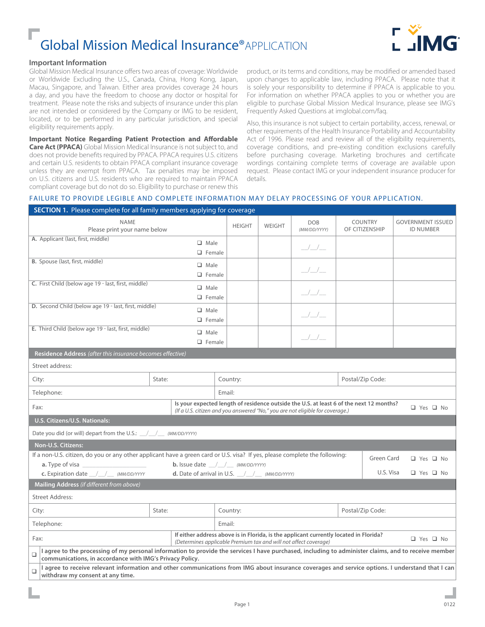# Global Mission Medical Insurance®APPLICATION



#### **Important Information**

Global Mission Medical Insurance offers two areas of coverage: Worldwide or Worldwide Excluding the U.S., Canada, China, Hong Kong, Japan, Macau, Singapore, and Taiwan. Either area provides coverage 24 hours a day, and you have the freedom to choose any doctor or hospital for treatment. Please note the risks and subjects of insurance under this plan are not intended or considered by the Company or IMG to be resident, located, or to be performed in any particular jurisdiction, and special eligibility requirements apply.

**Important Notice Regarding Patient Protection and Affordable Care Act (PPACA)** Global Mission Medical Insurance is not subject to, and does not provide benefits required by PPACA. PPACA requires U.S. citizens and certain U.S. residents to obtain PPACA compliant insurance coverage unless they are exempt from PPACA. Tax penalties may be imposed on U.S. citizens and U.S. residents who are required to maintain PPACA compliant coverage but do not do so. Eligibility to purchase or renew this

product, or its terms and conditions, may be modified or amended based upon changes to applicable law, including PPACA. Please note that it is solely your responsibility to determine if PPACA is applicable to you. For information on whether PPACA applies to you or whether you are eligible to purchase Global Mission Medical Insurance, please see IMG's Frequently Asked Questions at imglobal.com/faq.

Also, this insurance is not subject to certain portability, access, renewal, or other requirements of the Health Insurance Portability and Accountability Act of 1996. Please read and review all of the eligibility requirements, coverage conditions, and pre-existing condition exclusions carefully before purchasing coverage. Marketing brochures and certificate wordings containing complete terms of coverage are available upon request. Please contact IMG or your independent insurance producer for details.

#### FAILURE TO PROVIDE LEGIBLE AND COMPLETE INFORMATION MAY DELAY PROCESSING OF YOUR APPLICATION.

| <b>SECTION 1.</b> Please complete for all family members applying for coverage                                                                                                                                             |                                                                                                                                                                          |                                                   |            |                                                                                                                                                                                                                                                                                                                                                                                                                                                                            |                                  |                                              |
|----------------------------------------------------------------------------------------------------------------------------------------------------------------------------------------------------------------------------|--------------------------------------------------------------------------------------------------------------------------------------------------------------------------|---------------------------------------------------|------------|----------------------------------------------------------------------------------------------------------------------------------------------------------------------------------------------------------------------------------------------------------------------------------------------------------------------------------------------------------------------------------------------------------------------------------------------------------------------------|----------------------------------|----------------------------------------------|
| NAMF<br>Please print your name below                                                                                                                                                                                       |                                                                                                                                                                          | <b>HEIGHT</b>                                     | WEIGHT     | <b>DOB</b><br>(MM/DD/YYYY)                                                                                                                                                                                                                                                                                                                                                                                                                                                 | <b>COUNTRY</b><br>OF CITIZENSHIP | <b>GOVERNMENT ISSUED</b><br><b>ID NUMBER</b> |
| A. Applicant (last, first, middle)                                                                                                                                                                                         | $\Box$ Male<br>$\Box$ Female                                                                                                                                             |                                                   |            | $\frac{\hphantom{1}}{\hphantom{1}}\frac{\hphantom{1}}{\hphantom{1}}\frac{\hphantom{1}}{\hphantom{1}}\frac{\hphantom{1}}{\hphantom{1}}\frac{\hphantom{1}}{\hphantom{1}}\frac{\hphantom{1}}{\hphantom{1}}\frac{\hphantom{1}}{\hphantom{1}}\frac{\hphantom{1}}{\hphantom{1}}\frac{\hphantom{1}}{\hphantom{1}}\frac{\hphantom{1}}{\hphantom{1}}\frac{\hphantom{1}}{\hphantom{1}}\frac{\hphantom{1}}{\hphantom{1}}\frac{\hphantom{1}}{\hphantom{1}}\frac{\hphantom{1}}{\hphant$ |                                  |                                              |
| B. Spouse (last, first, middle)                                                                                                                                                                                            | $\Box$ Male<br>$\Box$ Female                                                                                                                                             |                                                   |            | $\frac{\hphantom{1}}{\hphantom{1}}\frac{\hphantom{1}}{\hphantom{1}}\frac{\hphantom{1}}{\hphantom{1}}\frac{\hphantom{1}}{\hphantom{1}}$                                                                                                                                                                                                                                                                                                                                     |                                  |                                              |
| C. First Child (below age 19 - last, first, middle)                                                                                                                                                                        | $\Box$ Male<br>$\Box$ Female                                                                                                                                             |                                                   |            | $\frac{1}{2}$                                                                                                                                                                                                                                                                                                                                                                                                                                                              |                                  |                                              |
| D. Second Child (below age 19 - last, first, middle)                                                                                                                                                                       | $\Box$ Male<br>$\Box$ Female                                                                                                                                             |                                                   |            | $\frac{1}{1}$                                                                                                                                                                                                                                                                                                                                                                                                                                                              |                                  |                                              |
| E. Third Child (below age 19 - last, first, middle)                                                                                                                                                                        | $\Box$ Male<br>$\Box$ Female                                                                                                                                             |                                                   |            | $\frac{1}{1}$                                                                                                                                                                                                                                                                                                                                                                                                                                                              |                                  |                                              |
| Residence Address (after this insurance becomes effective)                                                                                                                                                                 |                                                                                                                                                                          |                                                   |            |                                                                                                                                                                                                                                                                                                                                                                                                                                                                            |                                  |                                              |
| Street address:                                                                                                                                                                                                            |                                                                                                                                                                          |                                                   |            |                                                                                                                                                                                                                                                                                                                                                                                                                                                                            |                                  |                                              |
| City:                                                                                                                                                                                                                      | State:                                                                                                                                                                   | Country:                                          |            |                                                                                                                                                                                                                                                                                                                                                                                                                                                                            | Postal/Zip Code:                 |                                              |
| Telephone:                                                                                                                                                                                                                 |                                                                                                                                                                          | Email:                                            |            |                                                                                                                                                                                                                                                                                                                                                                                                                                                                            |                                  |                                              |
| Fax:                                                                                                                                                                                                                       | Is your expected length of residence outside the U.S. at least 6 of the next 12 months?<br>(If a U.S. citizen and you answered "No," you are not eligible for coverage.) |                                                   | □ Yes □ No |                                                                                                                                                                                                                                                                                                                                                                                                                                                                            |                                  |                                              |
| U.S. Citizens/U.S. Nationals:                                                                                                                                                                                              |                                                                                                                                                                          |                                                   |            |                                                                                                                                                                                                                                                                                                                                                                                                                                                                            |                                  |                                              |
| Date you did (or will) depart from the U.S.: \[ \] \] (MM/DD/YYYY)                                                                                                                                                         |                                                                                                                                                                          |                                                   |            |                                                                                                                                                                                                                                                                                                                                                                                                                                                                            |                                  |                                              |
| Non-U.S. Citizens:                                                                                                                                                                                                         |                                                                                                                                                                          |                                                   |            |                                                                                                                                                                                                                                                                                                                                                                                                                                                                            |                                  |                                              |
| If a non-U.S. citizen, do you or any other applicant have a green card or U.S. visa? If yes, please complete the following:                                                                                                |                                                                                                                                                                          | <b>b.</b> Issue date $\_\_\_\_\_\_\$ (MM/DD/YYYY) |            |                                                                                                                                                                                                                                                                                                                                                                                                                                                                            |                                  | Green Card<br>□ Yes □ No                     |
| <b>a.</b> Type of visa<br><b>c.</b> Expiration date /// / (MM/DD/YYYY                                                                                                                                                      | <b>d.</b> Date of arrival in U.S. $\angle$ / $\angle$ (MM/DD/YYYY)                                                                                                       |                                                   |            |                                                                                                                                                                                                                                                                                                                                                                                                                                                                            |                                  | U.S. Visa<br>□ Yes □ No                      |
| Mailing Address (if different from above)                                                                                                                                                                                  |                                                                                                                                                                          |                                                   |            |                                                                                                                                                                                                                                                                                                                                                                                                                                                                            |                                  |                                              |
| <b>Street Address:</b>                                                                                                                                                                                                     |                                                                                                                                                                          |                                                   |            |                                                                                                                                                                                                                                                                                                                                                                                                                                                                            |                                  |                                              |
| City:                                                                                                                                                                                                                      | State:                                                                                                                                                                   | Country:                                          |            | Postal/Zip Code:                                                                                                                                                                                                                                                                                                                                                                                                                                                           |                                  |                                              |
| Telephone:                                                                                                                                                                                                                 |                                                                                                                                                                          | Email:                                            |            |                                                                                                                                                                                                                                                                                                                                                                                                                                                                            |                                  |                                              |
| Fax:                                                                                                                                                                                                                       | If either address above is in Florida, is the applicant currently located in Florida?<br>(Determines applicable Premium tax and will not affect coverage)                |                                                   | □ Yes □ No |                                                                                                                                                                                                                                                                                                                                                                                                                                                                            |                                  |                                              |
| I agree to the processing of my personal information to provide the services I have purchased, including to administer claims, and to receive member<br>$\Box$<br>communications, in accordance with IMG's Privacy Policy. |                                                                                                                                                                          |                                                   |            |                                                                                                                                                                                                                                                                                                                                                                                                                                                                            |                                  |                                              |
| I agree to receive relevant information and other communications from IMG about insurance coverages and service options. I understand that I can<br>❏<br>withdraw my consent at any time.                                  |                                                                                                                                                                          |                                                   |            |                                                                                                                                                                                                                                                                                                                                                                                                                                                                            |                                  |                                              |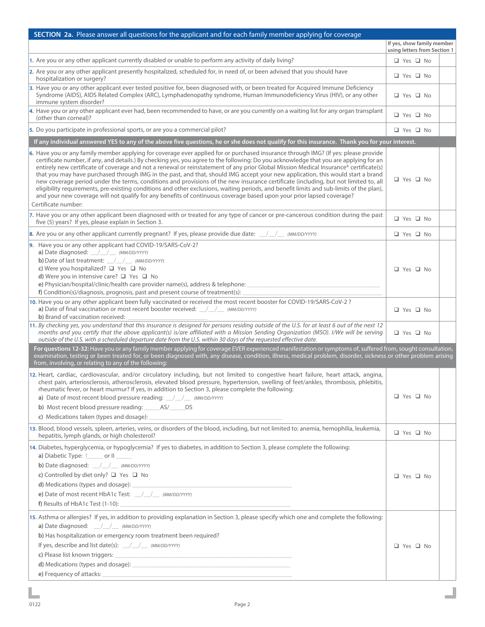| SECTION 2a. Please answer all questions for the applicant and for each family member applying for coverage                                                                                                                                                                                                                                                                                                                                                                                                                                                                                                                                                                                                                                                                                                                                                                                                                                                                                   |                                                            |
|----------------------------------------------------------------------------------------------------------------------------------------------------------------------------------------------------------------------------------------------------------------------------------------------------------------------------------------------------------------------------------------------------------------------------------------------------------------------------------------------------------------------------------------------------------------------------------------------------------------------------------------------------------------------------------------------------------------------------------------------------------------------------------------------------------------------------------------------------------------------------------------------------------------------------------------------------------------------------------------------|------------------------------------------------------------|
|                                                                                                                                                                                                                                                                                                                                                                                                                                                                                                                                                                                                                                                                                                                                                                                                                                                                                                                                                                                              | If yes, show family member<br>using letters from Section 1 |
| 1. Are you or any other applicant currently disabled or unable to perform any activity of daily living?                                                                                                                                                                                                                                                                                                                                                                                                                                                                                                                                                                                                                                                                                                                                                                                                                                                                                      | $\Box$ Yes $\Box$ No                                       |
| 2. Are you or any other applicant presently hospitalized, scheduled for, in need of, or been advised that you should have<br>hospitalization or surgery?                                                                                                                                                                                                                                                                                                                                                                                                                                                                                                                                                                                                                                                                                                                                                                                                                                     | $\Box$ Yes $\Box$ No                                       |
| 3. Have you or any other applicant ever tested positive for, been diagnosed with, or been treated for Acquired Immune Deficiency<br>Syndrome (AIDS), AIDS Related Complex (ARC), Lymphadenopathy syndrome, Human Immunodeficiency Virus (HIV), or any other<br>immune system disorder?                                                                                                                                                                                                                                                                                                                                                                                                                                                                                                                                                                                                                                                                                                       | $\Box$ Yes $\Box$ No                                       |
| 4. Have you or any other applicant ever had, been recommended to have, or are you currently on a waiting list for any organ transplant<br>(other than corneal)?                                                                                                                                                                                                                                                                                                                                                                                                                                                                                                                                                                                                                                                                                                                                                                                                                              | $\Box$ Yes $\Box$ No                                       |
| 5. Do you participate in professional sports, or are you a commercial pilot?                                                                                                                                                                                                                                                                                                                                                                                                                                                                                                                                                                                                                                                                                                                                                                                                                                                                                                                 | $\Box$ Yes $\Box$ No                                       |
| If any individual answered YES to any of the above five questions, he or she does not qualify for this insurance. Thank you for your interest.                                                                                                                                                                                                                                                                                                                                                                                                                                                                                                                                                                                                                                                                                                                                                                                                                                               |                                                            |
| 6. Have you or any family member applying for coverage ever applied for or purchased insurance through IMG? (If yes: please provide<br>certificate number, if any, and details.) By checking yes, you agree to the following: Do you acknowledge that you are applying for an<br>entirely new certificate of coverage and not a renewal or reinstatement of any prior Global Mission Medical Insurance® certificate(s)<br>that you may have purchased through IMG in the past, and that, should IMG accept your new application, this would start a brand<br>new coverage period under the terms, conditions and provisions of the new insurance certificate (including, but not limited to, all<br>eligibility requirements, pre-existing conditions and other exclusions, waiting periods, and benefit limits and sub-limits of the plan),<br>and your new coverage will not qualify for any benefits of continuous coverage based upon your prior lapsed coverage?<br>Certificate number: | $\Box$ Yes $\Box$ No                                       |
| 7. Have you or any other applicant been diagnosed with or treated for any type of cancer or pre-cancerous condition during the past<br>five (5) years? If yes, please explain in Section 3.                                                                                                                                                                                                                                                                                                                                                                                                                                                                                                                                                                                                                                                                                                                                                                                                  | $\Box$ Yes $\Box$ No                                       |
| 8. Are you or any other applicant currently pregnant? If yes, please provide due date: $\angle$                                                                                                                                                                                                                                                                                                                                                                                                                                                                                                                                                                                                                                                                                                                                                                                                                                                                                              | $\Box$ Yes $\Box$ No                                       |
| 9. Have you or any other applicant had COVID-19/SARS-CoV-2?<br>a) Date diagnosed: /// / (MM/DD/YYYY)<br>b) Date of last treatment: /// (MM/DD/YYYY)<br>c) Were you hospitalized? $\Box$ Yes $\Box$ No<br>d) Were you in intensive care? $\Box$ Yes $\Box$ No<br>e) Physician/hospital/clinic/health care provider name(s), address & telephone:<br>f) Condition(s)/diagnosis, prognosis, past and present course of treatment(s):                                                                                                                                                                                                                                                                                                                                                                                                                                                                                                                                                            | $\Box$ Yes $\Box$ No                                       |
| 10. Have you or any other applicant been fully vaccinated or received the most recent booster for COVID-19/SARS-CoV-2?<br>a) Date of final vaccination or most recent booster received: __/__/__ (MM/DD/YYYY)<br>b) Brand of vaccination received:                                                                                                                                                                                                                                                                                                                                                                                                                                                                                                                                                                                                                                                                                                                                           | $\Box$ Yes $\Box$ No                                       |
| 11. By checking yes, you understand that this insurance is designed for persons residing outside of the U.S. for at least 6 out of the next 12<br>months and you certify that the above applicant(s) is/are affiliated with a Mission Sending Organization (MSO). I/We will be serving<br>outside of the U.S. with a scheduled departure date from the U.S. within 30 days of the requested effective date.                                                                                                                                                                                                                                                                                                                                                                                                                                                                                                                                                                                  | □ Yes □ No                                                 |
| For questions 12-32: Have you or any family member applying for coverage EVER experienced manifestation or symptoms of, suffered from, sought consultation,<br>examination, testing or been treated for, or been diagnosed with, any disease, condition, illness, medical problem, disorder, sickness or other problem arising<br>from, involving, or relating to any of the following:                                                                                                                                                                                                                                                                                                                                                                                                                                                                                                                                                                                                      |                                                            |
| 12. Heart, cardiac, cardiovascular, and/or circulatory including, but not limited to congestive heart failure, heart attack, angina,<br>chest pain, arteriosclerosis, atherosclerosis, elevated blood pressure, hypertension, swelling of feet/ankles, thrombosis, phlebitis,<br>rheumatic fever, or heart murmur? If yes, in addition to Section 3, please complete the following:<br>a) Date of most recent blood pressure reading: _/_/_ (MM/DD/YYYY)<br>b) Most recent blood pressure reading: ______ AS/______ DS<br>c) Medications taken (types and dosage):                                                                                                                                                                                                                                                                                                                                                                                                                           | $\Box$ Yes $\Box$ No                                       |
| 13. Blood, blood vessels, spleen, arteries, veins, or disorders of the blood, including, but not limited to: anemia, hemophilia, leukemia,<br>hepatitis, lymph glands, or high cholesterol?                                                                                                                                                                                                                                                                                                                                                                                                                                                                                                                                                                                                                                                                                                                                                                                                  | $\Box$ Yes $\Box$ No                                       |
| 14. Diabetes, hyperglycemia, or hypoglycemia? If yes to diabetes, in addition to Section 3, please complete the following:<br>a) Diabetic Type:   ______ or    _____<br>b) Date diagnosed: /// (MM/DD/YYYY)<br>c) Controlled by diet only? $\Box$ Yes $\Box$ No<br>e) Date of most recent HbA1c Test: _/_/_ (MM/DD/YYYY)                                                                                                                                                                                                                                                                                                                                                                                                                                                                                                                                                                                                                                                                     | $\Box$ Yes $\Box$ No                                       |
| 15. Asthma or allergies? If yes, in addition to providing explanation in Section 3, please specify which one and complete the following:<br>a) Date diagnosed: /// (MM/DD/YYYY)<br>b) Has hospitalization or emergency room treatment been required?<br>If yes, describe and list date(s): __/__/__ (MM/DD/YYYY)<br>e) Frequency of attacks: Note that the state of the state of the state of the state of the state of the state of the state of the state of the state of the state of the state of the state of the state of the state of the s                                                                                                                                                                                                                                                                                                                                                                                                                                           | $\Box$ Yes $\Box$ No                                       |

ш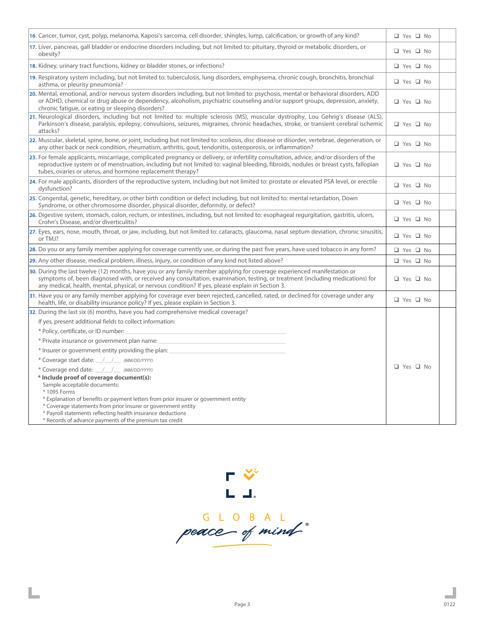| 16. Cancer, tumor, cyst, polyp, melanoma, Kaposi's sarcoma, cell disorder, shingles, lump, calcification, or growth of any kind?                                                                                                                                                                                                                                | □ Yes □ No           |
|-----------------------------------------------------------------------------------------------------------------------------------------------------------------------------------------------------------------------------------------------------------------------------------------------------------------------------------------------------------------|----------------------|
| 17. Liver, pancreas, gall bladder or endocrine disorders including, but not limited to: pituitary, thyroid or metabolic disorders, or                                                                                                                                                                                                                           |                      |
| obesity?                                                                                                                                                                                                                                                                                                                                                        | □ Yes □ No           |
| 18. Kidney, urinary tract functions, kidney or bladder stones, or infections?                                                                                                                                                                                                                                                                                   | □ Yes □ No           |
| 19. Respiratory system including, but not limited to: tuberculosis, lung disorders, emphysema, chronic cough, bronchitis, bronchial<br>asthma, or pleurisy pneumonia?                                                                                                                                                                                           | $\Box$ Yes $\Box$ No |
| 20. Mental, emotional, and/or nervous system disorders including, but not limited to: psychosis, mental or behavioral disorders, ADD<br>or ADHD, chemical or drug abuse or dependency, alcoholism, psychiatric counseling and/or support groups, depression, anxiety,<br>chronic fatigue, or eating or sleeping disorders?                                      | □ Yes □ No           |
| 21. Neurological disorders, including but not limited to: multiple sclerosis (MS), muscular dystrophy, Lou Gehrig's disease (ALS),<br>Parkinson's disease, paralysis, epilepsy, convulsions, seizures, migraines, chronic headaches, stroke, or transient cerebral ischemic<br>attacks?                                                                         | $\Box$ Yes $\Box$ No |
| 22. Muscular, skeletal, spine, bone, or joint, including but not limited to: scoliosis, disc disease or disorder, vertebrae, degeneration, or<br>any other back or neck condition, rheumatism, arthritis, gout, tendonitis, osteoporosis, or inflammation?                                                                                                      | □ Yes □ No           |
| 23. For female applicants, miscarriage, complicated pregnancy or delivery, or infertility consultation, advice, and/or disorders of the<br>reproductive system or of menstruation, including but not limited to: vaginal bleeding, fibroids, nodules or breast cysts, fallopian<br>tubes, ovaries or uterus, and hormone replacement therapy?                   | □ Yes □ No           |
| 24. For male applicants, disorders of the reproductive system, including but not limited to: prostate or elevated PSA level, or erectile<br>dysfunction?                                                                                                                                                                                                        | □ Yes □ No           |
| 25. Congenital, genetic, hereditary, or other birth condition or defect including, but not limited to: mental retardation, Down<br>Syndrome, or other chromosome disorder, physical disorder, deformity, or defect?                                                                                                                                             | □ Yes □ No           |
| 26. Digestive system, stomach, colon, rectum, or intestines, including, but not limited to: esophageal regurgitation, gastritis, ulcers,<br>Crohn's Disease, and/or diverticulitis?                                                                                                                                                                             | $\Box$ Yes $\Box$ No |
| 27. Eyes, ears, nose, mouth, throat, or jaw, including, but not limited to: cataracts, glaucoma, nasal septum deviation, chronic sinusitis,<br>or TMJ?                                                                                                                                                                                                          | □ Yes □ No           |
| 28. Do you or any family member applying for coverage currently use, or during the past five years, have used tobacco in any form?                                                                                                                                                                                                                              | □ Yes □ No           |
| 29. Any other disease, medical problem, illness, injury, or condition of any kind not listed above?                                                                                                                                                                                                                                                             | □ Yes □ No           |
| 30. During the last twelve (12) months, have you or any family member applying for coverage experienced manifestation or<br>symptoms of, been diagnosed with, or received any consultation, examination, testing, or treatment (including medications) for<br>any medical, health, mental, physical, or nervous condition? If yes, please explain in Section 3. | □ Yes □ No           |
| 31. Have you or any family member applying for coverage ever been rejected, cancelled, rated, or declined for coverage under any<br>health, life, or disability insurance policy? If yes, please explain in Section 3.                                                                                                                                          | □ Yes □ No           |
| 32. During the last six (6) months, have you had comprehensive medical coverage?                                                                                                                                                                                                                                                                                |                      |
| If yes, present additional fields to collect information:                                                                                                                                                                                                                                                                                                       |                      |
| * Policy, certificate, or ID number:                                                                                                                                                                                                                                                                                                                            |                      |
| * Private insurance or government plan name:                                                                                                                                                                                                                                                                                                                    |                      |
| * Insurer or government entity providing the plan:                                                                                                                                                                                                                                                                                                              |                      |
| * Coverage start date: / / / (MM/DD/YYYY)                                                                                                                                                                                                                                                                                                                       |                      |
| * Coverage end date: /// / (MM/DD/YYYY)                                                                                                                                                                                                                                                                                                                         | $\Box$ Yes $\Box$ No |
| * Include proof of coverage document(s):<br>Sample acceptable documents:<br>* 1095 Forms<br>* Explanation of benefits or payment letters from prior insurer or government entity                                                                                                                                                                                |                      |
| * Coverage statements from prior insurer or government entity                                                                                                                                                                                                                                                                                                   |                      |
| * Payroll statements reflecting health insurance deductions                                                                                                                                                                                                                                                                                                     |                      |
| * Records of advance payments of the premium tax credit                                                                                                                                                                                                                                                                                                         |                      |



Ц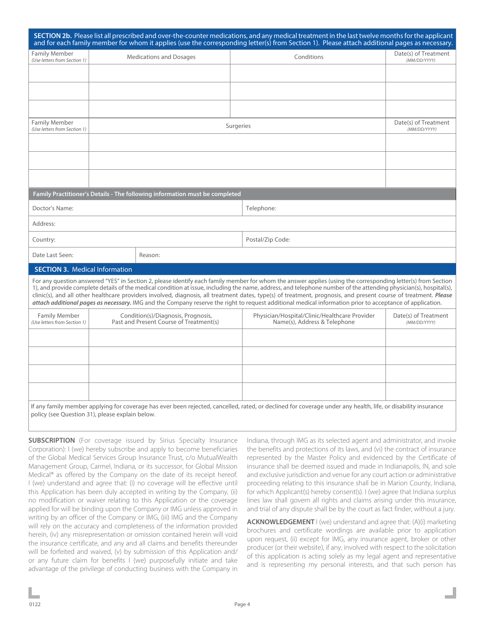|                                                                                                                                                                                                                                                                                                                                                                                                                                                                                                                                                                                                                                                                    |                                                                               | SECTION 2b. Please list all prescribed and over-the-counter medications, and any medical treatment in the last twelve months for the applicant<br>and for each family member for whom it applies (use the corresponding letter(s) from Section 1). Please attach additional pages as necessary. |                                      |  |
|--------------------------------------------------------------------------------------------------------------------------------------------------------------------------------------------------------------------------------------------------------------------------------------------------------------------------------------------------------------------------------------------------------------------------------------------------------------------------------------------------------------------------------------------------------------------------------------------------------------------------------------------------------------------|-------------------------------------------------------------------------------|-------------------------------------------------------------------------------------------------------------------------------------------------------------------------------------------------------------------------------------------------------------------------------------------------|--------------------------------------|--|
| <b>Family Member</b><br>(Use letters from Section 1)                                                                                                                                                                                                                                                                                                                                                                                                                                                                                                                                                                                                               | <b>Medications and Dosages</b>                                                | Conditions                                                                                                                                                                                                                                                                                      | Date(s) of Treatment<br>(MM/DD/YYYY) |  |
|                                                                                                                                                                                                                                                                                                                                                                                                                                                                                                                                                                                                                                                                    |                                                                               |                                                                                                                                                                                                                                                                                                 |                                      |  |
|                                                                                                                                                                                                                                                                                                                                                                                                                                                                                                                                                                                                                                                                    |                                                                               |                                                                                                                                                                                                                                                                                                 |                                      |  |
|                                                                                                                                                                                                                                                                                                                                                                                                                                                                                                                                                                                                                                                                    |                                                                               |                                                                                                                                                                                                                                                                                                 |                                      |  |
|                                                                                                                                                                                                                                                                                                                                                                                                                                                                                                                                                                                                                                                                    |                                                                               |                                                                                                                                                                                                                                                                                                 |                                      |  |
| <b>Family Member</b><br>(Use letters from Section 1)                                                                                                                                                                                                                                                                                                                                                                                                                                                                                                                                                                                                               |                                                                               | Surgeries                                                                                                                                                                                                                                                                                       | Date(s) of Treatment<br>(MM/DD/YYYY) |  |
|                                                                                                                                                                                                                                                                                                                                                                                                                                                                                                                                                                                                                                                                    |                                                                               |                                                                                                                                                                                                                                                                                                 |                                      |  |
|                                                                                                                                                                                                                                                                                                                                                                                                                                                                                                                                                                                                                                                                    |                                                                               |                                                                                                                                                                                                                                                                                                 |                                      |  |
|                                                                                                                                                                                                                                                                                                                                                                                                                                                                                                                                                                                                                                                                    |                                                                               |                                                                                                                                                                                                                                                                                                 |                                      |  |
|                                                                                                                                                                                                                                                                                                                                                                                                                                                                                                                                                                                                                                                                    |                                                                               |                                                                                                                                                                                                                                                                                                 |                                      |  |
|                                                                                                                                                                                                                                                                                                                                                                                                                                                                                                                                                                                                                                                                    | Family Practitioner's Details - The following information must be completed   |                                                                                                                                                                                                                                                                                                 |                                      |  |
| Doctor's Name:                                                                                                                                                                                                                                                                                                                                                                                                                                                                                                                                                                                                                                                     |                                                                               | Telephone:                                                                                                                                                                                                                                                                                      |                                      |  |
| Address:                                                                                                                                                                                                                                                                                                                                                                                                                                                                                                                                                                                                                                                           |                                                                               |                                                                                                                                                                                                                                                                                                 |                                      |  |
| Country:                                                                                                                                                                                                                                                                                                                                                                                                                                                                                                                                                                                                                                                           |                                                                               | Postal/Zip Code:                                                                                                                                                                                                                                                                                |                                      |  |
| Date Last Seen:                                                                                                                                                                                                                                                                                                                                                                                                                                                                                                                                                                                                                                                    | Reason:                                                                       |                                                                                                                                                                                                                                                                                                 |                                      |  |
| <b>SECTION 3. Medical Information</b>                                                                                                                                                                                                                                                                                                                                                                                                                                                                                                                                                                                                                              |                                                                               |                                                                                                                                                                                                                                                                                                 |                                      |  |
| For any question answered "YES" in Section 2, please identify each family member for whom the answer applies (using the corresponding letter(s) from Section<br>1), and provide complete details of the medical condition at issue, including the name, address, and telephone number of the attending physician(s), hospital(s),<br>clinic(s), and all other healthcare providers involved, diagnosis, all treatment dates, type(s) of treatment, prognosis, and present course of treatment. Please<br>attach additional pages as necessary. IMG and the Company reserve the right to request additional medical information prior to acceptance of application. |                                                                               |                                                                                                                                                                                                                                                                                                 |                                      |  |
| <b>Family Member</b><br>(Use letters from Section 1)                                                                                                                                                                                                                                                                                                                                                                                                                                                                                                                                                                                                               | Condition(s)/Diagnosis, Prognosis,<br>Past and Present Course of Treatment(s) | Physician/Hospital/Clinic/Healthcare Provider<br>Name(s), Address & Telephone                                                                                                                                                                                                                   | Date(s) of Treatment<br>(MM/DD/YYYY) |  |
|                                                                                                                                                                                                                                                                                                                                                                                                                                                                                                                                                                                                                                                                    |                                                                               |                                                                                                                                                                                                                                                                                                 |                                      |  |
|                                                                                                                                                                                                                                                                                                                                                                                                                                                                                                                                                                                                                                                                    |                                                                               |                                                                                                                                                                                                                                                                                                 |                                      |  |
|                                                                                                                                                                                                                                                                                                                                                                                                                                                                                                                                                                                                                                                                    |                                                                               |                                                                                                                                                                                                                                                                                                 |                                      |  |
|                                                                                                                                                                                                                                                                                                                                                                                                                                                                                                                                                                                                                                                                    |                                                                               |                                                                                                                                                                                                                                                                                                 |                                      |  |
|                                                                                                                                                                                                                                                                                                                                                                                                                                                                                                                                                                                                                                                                    | policy (see Question 31), please explain below.                               | If any family member applying for coverage has ever been rejected, cancelled, rated, or declined for coverage under any health, life, or disability insurance                                                                                                                                   |                                      |  |
|                                                                                                                                                                                                                                                                                                                                                                                                                                                                                                                                                                                                                                                                    |                                                                               |                                                                                                                                                                                                                                                                                                 |                                      |  |

**SUBSCRIPTION** (For coverage issued by Sirius Specialty Insurance Corporation): I (we) hereby subscribe and apply to become beneficiaries of the Global Medical Services Group Insurance Trust, c/o MutualWealth Management Group, Carmel, Indiana, or its successor, for Global Mission Medical® as offered by the Company on the date of its receipt hereof. I (we) understand and agree that: (i) no coverage will be effective until this Application has been duly accepted in writing by the Company, (ii) no modification or waiver relating to this Application or the coverage applied for will be binding upon the Company or IMG unless approved in writing by an officer of the Company or IMG, (iii) IMG and the Company will rely on the accuracy and completeness of the information provided herein, (iv) any misrepresentation or omission contained herein will void the insurance certificate, and any and all claims and benefits thereunder will be forfeited and waived, (v) by submission of this Application and/ or any future claim for benefits I (we) purposefully initiate and take advantage of the privilege of conducting business with the Company in

Indiana, through IMG as its selected agent and administrator, and invoke the benefits and protections of its laws, and (vi) the contract of insurance represented by the Master Policy and evidenced by the Certificate of insurance shall be deemed issued and made in Indianapolis, IN, and sole and exclusive jurisdiction and venue for any court action or administrative proceeding relating to this insurance shall be in Marion County, Indiana, for which Applicant(s) hereby consent(s). I (we) agree that Indiana surplus lines law shall govern all rights and claims arising under this insurance, and trial of any dispute shall be by the court as fact finder, without a jury.

**ACKNOWLEDGEMENT** I (we) understand and agree that: (A)(i) marketing brochures and certificate wordings are available prior to application upon request, (ii) except for IMG, any insurance agent, broker or other producer (or their website), if any, involved with respect to the solicitation of this application is acting solely as my legal agent and representative and is representing my personal interests, and that such person has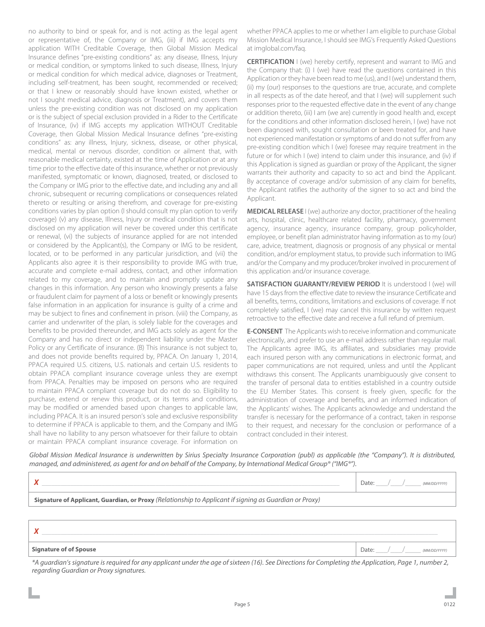no authority to bind or speak for, and is not acting as the legal agent or representative of, the Company or IMG, (iii) if IMG accepts my application WITH Creditable Coverage, then Global Mission Medical Insurance defines "pre-existing conditions" as: any disease, Illness, Injury or medical condition, or symptoms linked to such disease, Illness, Injury or medical condition for which medical advice, diagnoses or Treatment, including self-treatment, has been sought, recommended or received; or that I knew or reasonably should have known existed, whether or not I sought medical advice, diagnosis or Treatment), and covers them unless the pre-existing condition was not disclosed on my application or is the subject of special exclusion provided in a Rider to the Certificate of Insurance, (iv) if IMG accepts my application WITHOUT Creditable Coverage, then Global Mission Medical Insurance defines "pre-existing conditions" as: any illness, Injury, sickness, disease, or other physical, medical, mental or nervous disorder, condition or ailment that, with reasonable medical certainty, existed at the time of Application or at any time prior to the effective date of this insurance, whether or not previously manifested, symptomatic or known, diagnosed, treated, or disclosed to the Company or IMG prior to the effective date, and including any and all chronic, subsequent or recurring complications or consequences related thereto or resulting or arising therefrom, and coverage for pre-existing conditions varies by plan option (I should consult my plan option to verify coverage) (v) any disease, Illness, Injury or medical condition that is not disclosed on my application will never be covered under this certificate or renewal, (vi) the subjects of insurance applied for are not intended or considered by the Applicant(s), the Company or IMG to be resident, located, or to be performed in any particular jurisdiction, and (vii) the Applicants also agree it is their responsibility to provide IMG with true, accurate and complete e-mail address, contact, and other information related to my coverage, and to maintain and promptly update any changes in this information. Any person who knowingly presents a false or fraudulent claim for payment of a loss or benefit or knowingly presents false information in an application for insurance is guilty of a crime and may be subject to fines and confinement in prison. (viii) the Company, as carrier and underwriter of the plan, is solely liable for the coverages and benefits to be provided thereunder, and IMG acts solely as agent for the Company and has no direct or independent liability under the Master Policy or any Certificate of insurance. (B) This insurance is not subject to, and does not provide benefits required by, PPACA. On January 1, 2014, PPACA required U.S. citizens, U.S. nationals and certain U.S. residents to obtain PPACA compliant insurance coverage unless they are exempt from PPACA. Penalties may be imposed on persons who are required to maintain PPACA compliant coverage but do not do so. Eligibility to purchase, extend or renew this product, or its terms and conditions, may be modified or amended based upon changes to applicable law, including PPACA. It is an insured person's sole and exclusive responsibility to determine if PPACA is applicable to them, and the Company and IMG shall have no liability to any person whatsoever for their failure to obtain or maintain PPACA compliant insurance coverage. For information on

whether PPACA applies to me or whether I am eligible to purchase Global Mission Medical Insurance, I should see IMG's Frequently Asked Questions at imglobal.com/faq.

**CERTIFICATION** I (we) hereby certify, represent and warrant to IMG and the Company that: (i) I (we) have read the questions contained in this Application or they have been read to me (us), and I (we) understand them, (ii) my (our) responses to the questions are true, accurate, and complete in all respects as of the date hereof, and that I (we) will supplement such responses prior to the requested effective date in the event of any change or addition thereto, (iii) I am (we are) currently in good health and, except for the conditions and other information disclosed herein, I (we) have not been diagnosed with, sought consultation or been treated for, and have not experienced manifestation or symptoms of and do not suffer from any pre-existing condition which I (we) foresee may require treatment in the future or for which I (we) intend to claim under this insurance, and (iv) if this Application is signed as guardian or proxy of the Applicant, the signer warrants their authority and capacity to so act and bind the Applicant. By acceptance of coverage and/or submission of any claim for benefits, the Applicant ratifies the authority of the signer to so act and bind the Applicant.

**MEDICAL RELEASE** I (we) authorize any doctor, practitioner of the healing arts, hospital, clinic, healthcare related facility, pharmacy, government agency, insurance agency, insurance company, group policyholder, employee, or benefit plan administrator having information as to my (our) care, advice, treatment, diagnosis or prognosis of any physical or mental condition, and/or employment status, to provide such information to IMG and/or the Company and my producer/broker involved in procurement of this application and/or insurance coverage.

**SATISFACTION GUARANTY/REVIEW PERIOD** It is understood I (we) will have 15 days from the effective date to review the insurance Certificate and all benefits, terms, conditions, limitations and exclusions of coverage. If not completely satisfied, I (we) may cancel this insurance by written request retroactive to the effective date and receive a full refund of premium.

**E-CONSENT** The Applicants wish to receive information and communicate electronically, and prefer to use an e-mail address rather than regular mail. The Applicants agree IMG, its affiliates, and subsidiaries may provide each insured person with any communications in electronic format, and paper communications are not required, unless and until the Applicant withdraws this consent. The Applicants unambiguously give consent to the transfer of personal data to entities established in a country outside the EU Member States. This consent is freely given, specific for the administration of coverage and benefits, and an informed indication of the Applicants' wishes. The Applicants acknowledge and understand the transfer is necessary for the performance of a contract, taken in response to their request, and necessary for the conclusion or performance of a contract concluded in their interest.

*Global Mission Medical Insurance is underwritten by Sirius Specialty Insurance Corporation (publ) as applicable (the "Company"). It is distributed, managed, and administered, as agent for and on behalf of the Company, by International Medical Group® ("IMG®").*

|                                                                                                               | (MM/DD/YYYY) |  |  |
|---------------------------------------------------------------------------------------------------------------|--------------|--|--|
| <b>Signature of Applicant, Guardian, or Proxy</b> (Relationship to Applicant if signing as Guardian or Proxy) |              |  |  |
|                                                                                                               |              |  |  |

### $X \perp$

#### **Signature of of Spouse** Date: \_\_\_/\_\_\_/\_\_\_\_ *(MM/DD/YYYY)*

*\*A guardian's signature is required for any applicant under the age of sixteen (16). See Directions for Completing the Application, Page 1, number 2, regarding Guardian or Proxy signatures.*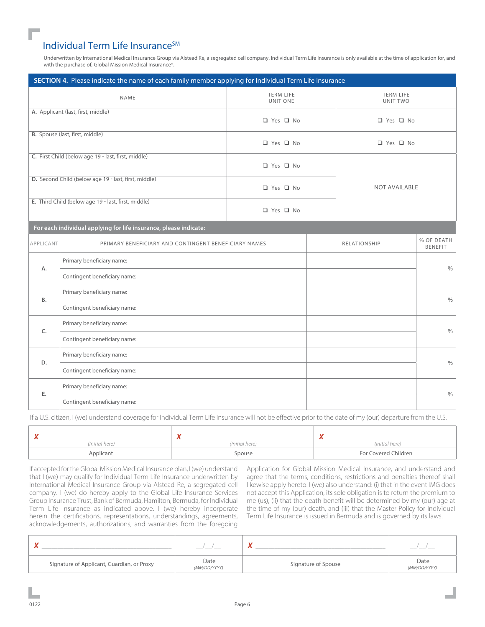## Individual Term Life Insurance<sup>SM</sup>

Underwritten by International Medical Insurance Group via Alstead Re, a segregated cell company. Individual Term Life Insurance is only available at the time of application for, and with the purchase of, Global Mission Medical Insurance®.

| SECTION 4. Please indicate the name of each family member applying for Individual Term Life Insurance |                                                      |                              |                              |                      |                              |  |
|-------------------------------------------------------------------------------------------------------|------------------------------------------------------|------------------------------|------------------------------|----------------------|------------------------------|--|
|                                                                                                       | <b>NAME</b>                                          | <b>TERM LIFE</b><br>UNIT ONE | <b>TERM LIFE</b><br>UNIT TWO |                      |                              |  |
|                                                                                                       | A. Applicant (last, first, middle)                   | □ Yes □ No                   |                              | □ Yes □ No           |                              |  |
|                                                                                                       | <b>B.</b> Spouse (last, first, middle)               | □ Yes □ No                   | □ Yes □ No                   |                      |                              |  |
|                                                                                                       | C. First Child (below age 19 - last, first, middle)  | □ Yes □ No                   |                              |                      |                              |  |
|                                                                                                       | D. Second Child (below age 19 - last, first, middle) | □ Yes □ No                   |                              | <b>NOT AVAILABLE</b> |                              |  |
|                                                                                                       | E. Third Child (below age 19 - last, first, middle)  | □ Yes □ No                   |                              |                      |                              |  |
| For each individual applying for life insurance, please indicate:                                     |                                                      |                              |                              |                      |                              |  |
| APPLICANT                                                                                             | PRIMARY BENEFICIARY AND CONTINGENT BENEFICIARY NAMES |                              |                              | RELATIONSHIP         | % OF DEATH<br><b>BENEFIT</b> |  |
|                                                                                                       | Primary beneficiary name:                            |                              |                              |                      | $\frac{0}{0}$                |  |
| A.<br>Contingent beneficiary name:                                                                    |                                                      |                              |                              |                      |                              |  |
| Primary beneficiary name:                                                                             |                                                      |                              |                              |                      |                              |  |
| B.                                                                                                    | Contingent beneficiary name:                         |                              |                              |                      | $\%$                         |  |
|                                                                                                       | Primary beneficiary name:                            |                              |                              |                      |                              |  |
| C.<br>Contingent beneficiary name:                                                                    |                                                      |                              |                              | $\frac{0}{0}$        |                              |  |
| Primary beneficiary name:                                                                             |                                                      |                              |                              |                      |                              |  |
| D.                                                                                                    | Contingent beneficiary name:                         |                              |                              |                      | $\frac{0}{0}$                |  |
| Primary beneficiary name:                                                                             |                                                      |                              |                              |                      |                              |  |
| Ε.<br>Contingent beneficiary name:                                                                    |                                                      |                              |                              | $\%$                 |                              |  |

If a U.S. citizen, I (we) understand coverage for Individual Term Life Insurance will not be effective prior to the date of my (our) departure from the U.S.

|                | $\mathbf{v}$<br>. . |                      |
|----------------|---------------------|----------------------|
| (Initial here) | (Initial here)      | (Initial here)       |
| Applicant      | Spouse              | For Covered Children |

If accepted for the Global Mission Medical Insurance plan, I (we) understand that I (we) may qualify for Individual Term Life Insurance underwritten by International Medical Insurance Group via Alstead Re, a segregated cell company. I (we) do hereby apply to the Global Life Insurance Services Group Insurance Trust, Bank of Bermuda, Hamilton, Bermuda, for Individual Term Life Insurance as indicated above. I (we) hereby incorporate herein the certifications, representations, understandings, agreements, acknowledgements, authorizations, and warranties from the foregoing

Application for Global Mission Medical Insurance, and understand and agree that the terms, conditions, restrictions and penalties thereof shall likewise apply hereto. I (we) also understand: (i) that in the event IMG does not accept this Application, its sole obligation is to return the premium to me (us), (ii) that the death benefit will be determined by my (our) age at the time of my (our) death, and (iii) that the Master Policy for Individual Term Life Insurance is issued in Bermuda and is governed by its laws.

|                                            |                      | $\overline{\phantom{a}}$ |                      |
|--------------------------------------------|----------------------|--------------------------|----------------------|
| Signature of Applicant, Guardian, or Proxy | Date<br>(MM/DD/YYYY) | Signature of Spouse      | Date<br>(MM/DD/YYYY) |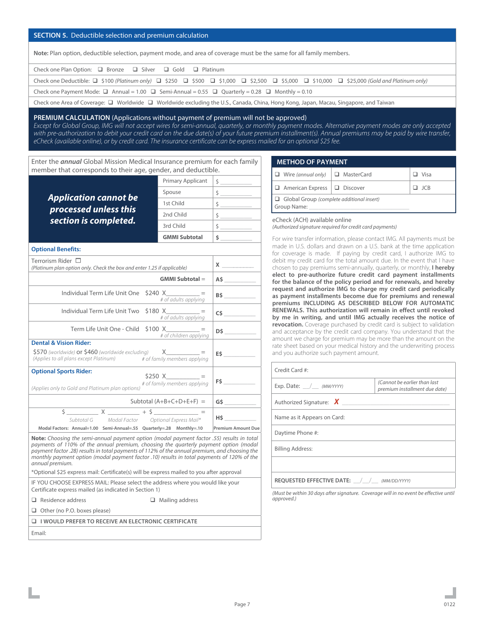#### **SECTION 5.** Deductible selection and premium calculation

**Note:** Plan option, deductible selection, payment mode, and area of coverage must be the same for all family members.

| Check one Plan Option: $\Box$ Bronze $\Box$ Silver $\Box$ Gold $\Box$ Platinum                                                                                      |
|---------------------------------------------------------------------------------------------------------------------------------------------------------------------|
| Check one Deductible: $\Box$ \$100 (Platinum only) $\Box$ \$250 $\Box$ \$500 $\Box$ \$1,000 $\Box$ \$2,500 $\Box$ \$10,000 $\Box$ \$25,000 (Gold and Platinum only) |
| Check one Payment Mode: $\Box$ Annual = 1.00 $\Box$ Semi-Annual = 0.55 $\Box$ Quarterly = 0.28 $\Box$ Monthly = 0.10                                                |
| Check one Area of Coverage: $\Box$ Worldwide $\Box$ Worldwide excluding the U.S., Canada, China, Hong Kong, Japan, Macau, Singapore, and Taiwan                     |

#### **PREMIUM CALCULATION** (Applications without payment of premium will not be approved)

*Except for Global Group, IMG will not accept wires for semi-annual, quarterly, or monthly payment modes. Alternative payment modes are only accepted*  with pre-authorization to debit your credit card on the due date(s) of your future premium installment(s). Annual premiums may be paid by wire transfer, *eCheck (available online), or by credit card. The insurance certificate can be express mailed for an optional \$25 fee.*

Enter the *annual* Global Mission Medical Insurance premium for each family member that corresponds to their age, gender, and deductible.

|                                                                                                                                                                                                                                                                                           | <b>Primary Applicant</b>                   | $\frac{1}{2}$                                                                                                                                                                                                                                                                                 |
|-------------------------------------------------------------------------------------------------------------------------------------------------------------------------------------------------------------------------------------------------------------------------------------------|--------------------------------------------|-----------------------------------------------------------------------------------------------------------------------------------------------------------------------------------------------------------------------------------------------------------------------------------------------|
|                                                                                                                                                                                                                                                                                           | Spouse                                     | $\frac{1}{2}$                                                                                                                                                                                                                                                                                 |
| <b>Application cannot be</b>                                                                                                                                                                                                                                                              | 1st Child                                  | $\frac{1}{2}$                                                                                                                                                                                                                                                                                 |
| processed unless this                                                                                                                                                                                                                                                                     | 2nd Child                                  | $\frac{1}{2}$                                                                                                                                                                                                                                                                                 |
| section is completed.                                                                                                                                                                                                                                                                     | 3rd Child                                  | $\frac{1}{2}$                                                                                                                                                                                                                                                                                 |
|                                                                                                                                                                                                                                                                                           | <b>GMMI Subtotal</b>                       | $\sim$ 5 $\sim$ 5 $\sim$ 5 $\sim$ 5 $\sim$ 5 $\sim$ 5 $\sim$ 5 $\sim$ 5 $\sim$ 5 $\sim$ 5 $\sim$ 5 $\sim$ 5 $\sim$ 5 $\sim$ 5 $\sim$ 5 $\sim$ 5 $\sim$ 5 $\sim$ 5 $\sim$ 5 $\sim$ 5 $\sim$ 5 $\sim$ 5 $\sim$ 5 $\sim$ 5 $\sim$ 5 $\sim$ 5 $\sim$ 5 $\sim$ 5 $\sim$ 5 $\sim$ 5 $\sim$ 5 $\sim$ |
| <b>Optional Benefits:</b>                                                                                                                                                                                                                                                                 |                                            |                                                                                                                                                                                                                                                                                               |
| Terrorism Rider $\ \Box$<br>(Platinum plan option only. Check the box and enter 1.25 if applicable)                                                                                                                                                                                       |                                            | $x \overline{\phantom{a}}$                                                                                                                                                                                                                                                                    |
|                                                                                                                                                                                                                                                                                           | <b>GMMI Subtotal =</b>                     | A5                                                                                                                                                                                                                                                                                            |
| Individual Term Life Unit One                                                                                                                                                                                                                                                             | $$240 X =$<br># of adults applying         | <b>B\$</b>                                                                                                                                                                                                                                                                                    |
| Individual Term Life Unit Two                                                                                                                                                                                                                                                             | $$180 X$ = =<br># of adults applying       |                                                                                                                                                                                                                                                                                               |
| Term Life Unit One - Child $$100 X$ =                                                                                                                                                                                                                                                     | # of children applying                     | D\$                                                                                                                                                                                                                                                                                           |
| <b>Dental &amp; Vision Rider:</b>                                                                                                                                                                                                                                                         |                                            |                                                                                                                                                                                                                                                                                               |
| $$570$ (worldwide) or $$460$ (worldwide excluding) X _________<br>(Applies to all plans except Platinum) # of family members applying                                                                                                                                                     |                                            | ES                                                                                                                                                                                                                                                                                            |
| <b>Optional Sports Rider:</b><br>(Applies only to Gold and Platinum plan options)                                                                                                                                                                                                         | $$250 X$ =<br># of family members applying | $FS$ and $\sim$ 100 $\sim$ 100 $\sim$ 100 $\sim$ 100 $\sim$ 100 $\sim$ 100 $\sim$ 100 $\sim$                                                                                                                                                                                                  |
|                                                                                                                                                                                                                                                                                           | Subtotal $(A+B+C+D+E+F)$ =                 |                                                                                                                                                                                                                                                                                               |
|                                                                                                                                                                                                                                                                                           |                                            |                                                                                                                                                                                                                                                                                               |
| Subtotal G Modal Factor Optional Express Mail*                                                                                                                                                                                                                                            |                                            | H\$                                                                                                                                                                                                                                                                                           |
| Modal Factors: Annual=1.00 Semi-Annual=.55 Quarterly=.28 Monthly=.10                                                                                                                                                                                                                      |                                            | <b>Premium Amount Due</b>                                                                                                                                                                                                                                                                     |
| <b>Note:</b> Choosing the semi-annual payment option (modal payment factor .55) results in total<br>payments of 110% of the annual premium, choosing the quarterly payment option (modal<br>payment factor .28) results in total payments of 112% of the annual premium, and choosing the |                                            |                                                                                                                                                                                                                                                                                               |

*monthly payment option (modal payment factor .10) results in total payments of 120% of the* 

\*Optional \$25 express mail: Certificate(s) will be express mailed to you after approval IF YOU CHOOSE EXPRESS MAIL: Please select the address where you would like your

| <b>METHOD OF PAYMENT</b>                                        |  |       |  |
|-----------------------------------------------------------------|--|-------|--|
| $\Box$ Wire (annual only) $\Box$ MasterCard                     |  | Visa  |  |
| $\Box$ American Express $\Box$ Discover                         |  | - ICB |  |
| $\Box$ Global Group (complete additional insert)<br>Group Name: |  |       |  |

#### eCheck (ACH) available online

*(Authorized signature required for credit card payments)*

For wire transfer information, please contact IMG. All payments must be made in U.S. dollars and drawn on a U.S. bank at the time application for coverage is made. If paying by credit card, I authorize IMG to debit my credit card for the total amount due. In the event that I have chosen to pay premiums semi-annually, quarterly, or monthly, **I hereby elect to pre-authorize future credit card payment installments for the balance of the policy period and for renewals, and hereby request and authorize IMG to charge my credit card periodically as payment installments become due for premiums and renewal premiums INCLUDING AS DESCRIBED BELOW FOR AUTOMATIC RENEWALS. This authorization will remain in effect until revoked by me in writing, and until IMG actually receives the notice of revocation.** Coverage purchased by credit card is subject to validation and acceptance by the credit card company. You understand that the amount we charge for premium may be more than the amount on the rate sheet based on your medical history and the underwriting process and you authorize such payment amount.

| Credit Card #:                             |                                                                |  |  |
|--------------------------------------------|----------------------------------------------------------------|--|--|
| Exp. Date: $\angle$ (MM/YYYY)              | (Cannot be earlier than last)<br>premium installment due date) |  |  |
| Authorized Signature: $\bm{X}$             |                                                                |  |  |
| Name as it Appears on Card:                |                                                                |  |  |
| Daytime Phone #:                           |                                                                |  |  |
| <b>Billing Address:</b>                    |                                                                |  |  |
|                                            |                                                                |  |  |
| REQUESTED EFFECTIVE DATE: / / (MM/DD/YYYY) |                                                                |  |  |

*(Must be within 30 days after signature. Coverage will in no event be effective until approved.)*

 $\Box$  Other (no P.O. boxes please)

q **I WOULD PREFER TO RECEIVE AN ELECTRONIC CERTIFICATE**

**Q** Residence address **Q** Mailing address

Certificate express mailed (as indicated in Section 1)

Email:

*annual premium.*